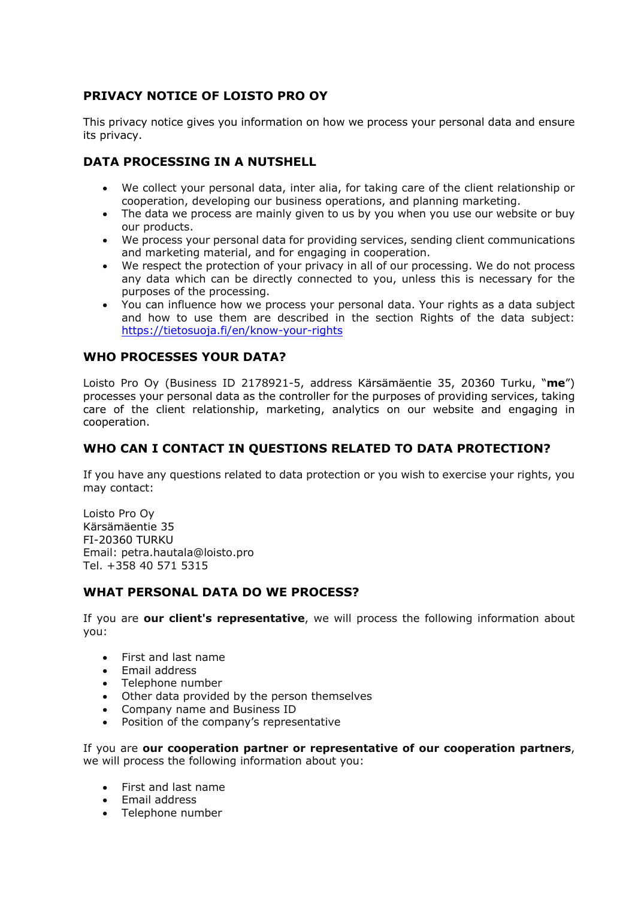# **PRIVACY NOTICE OF LOISTO PRO OY**

This privacy notice gives you information on how we process your personal data and ensure its privacy.

# **DATA PROCESSING IN A NUTSHELL**

- We collect your personal data, inter alia, for taking care of the client relationship or cooperation, developing our business operations, and planning marketing.
- The data we process are mainly given to us by you when you use our website or buy our products.
- We process your personal data for providing services, sending client communications and marketing material, and for engaging in cooperation.
- We respect the protection of your privacy in all of our processing. We do not process any data which can be directly connected to you, unless this is necessary for the purposes of the processing.
- You can influence how we process your personal data. Your rights as a data subject and how to use them are described in the section Rights of the data subject: https://tietosuoja.fi/en/know-your-rights

### **WHO PROCESSES YOUR DATA?**

Loisto Pro Oy (Business ID 2178921-5, address Kärsämäentie 35, 20360 Turku, "**me**") processes your personal data as the controller for the purposes of providing services, taking care of the client relationship, marketing, analytics on our website and engaging in cooperation.

## **WHO CAN I CONTACT IN QUESTIONS RELATED TO DATA PROTECTION?**

If you have any questions related to data protection or you wish to exercise your rights, you may contact:

Loisto Pro Oy Kärsämäentie 35 FI-20360 TURKU Email: petra.hautala@loisto.pro Tel. +358 40 571 5315

### **WHAT PERSONAL DATA DO WE PROCESS?**

If you are **our client's representative**, we will process the following information about you:

- First and last name
- Email address
- Telephone number
- Other data provided by the person themselves
- Company name and Business ID
- Position of the company's representative

If you are **our cooperation partner or representative of our cooperation partners**, we will process the following information about you:

- First and last name
- Email address
- Telephone number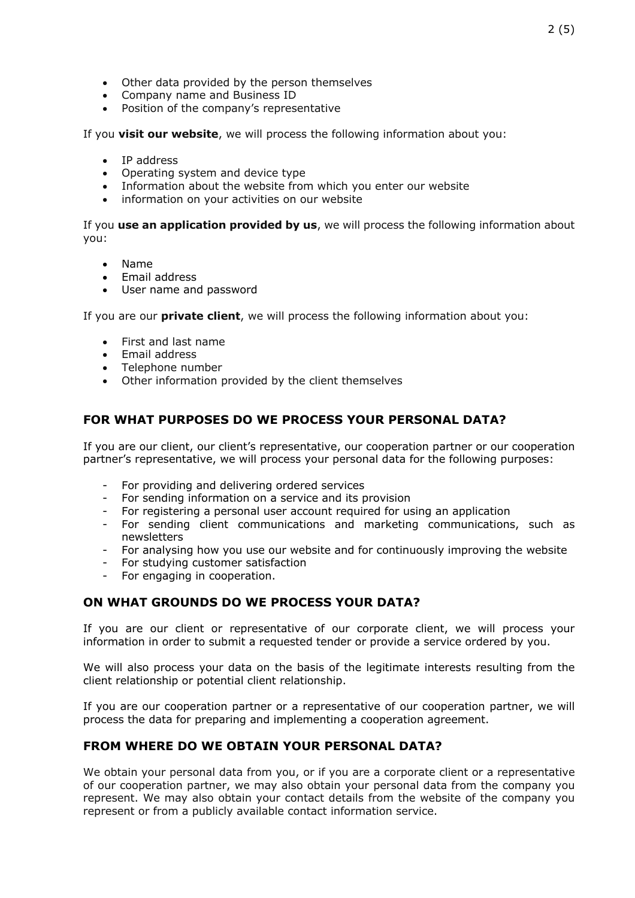- Other data provided by the person themselves
- Company name and Business ID
- Position of the company's representative

If you **visit our website**, we will process the following information about you:

- IP address
- Operating system and device type
- Information about the website from which you enter our website
- information on your activities on our website

If you **use an application provided by us**, we will process the following information about you:

- Name
- Email address
- User name and password

If you are our **private client**, we will process the following information about you:

- First and last name
- Email address
- Telephone number
- Other information provided by the client themselves

## **FOR WHAT PURPOSES DO WE PROCESS YOUR PERSONAL DATA?**

If you are our client, our client's representative, our cooperation partner or our cooperation partner's representative, we will process your personal data for the following purposes:

- For providing and delivering ordered services
- For sending information on a service and its provision
- For registering a personal user account required for using an application
- For sending client communications and marketing communications, such as newsletters
- For analysing how you use our website and for continuously improving the website
- For studying customer satisfaction
- For engaging in cooperation.

### **ON WHAT GROUNDS DO WE PROCESS YOUR DATA?**

If you are our client or representative of our corporate client, we will process your information in order to submit a requested tender or provide a service ordered by you.

We will also process your data on the basis of the legitimate interests resulting from the client relationship or potential client relationship.

If you are our cooperation partner or a representative of our cooperation partner, we will process the data for preparing and implementing a cooperation agreement.

### **FROM WHERE DO WE OBTAIN YOUR PERSONAL DATA?**

We obtain your personal data from you, or if you are a corporate client or a representative of our cooperation partner, we may also obtain your personal data from the company you represent. We may also obtain your contact details from the website of the company you represent or from a publicly available contact information service.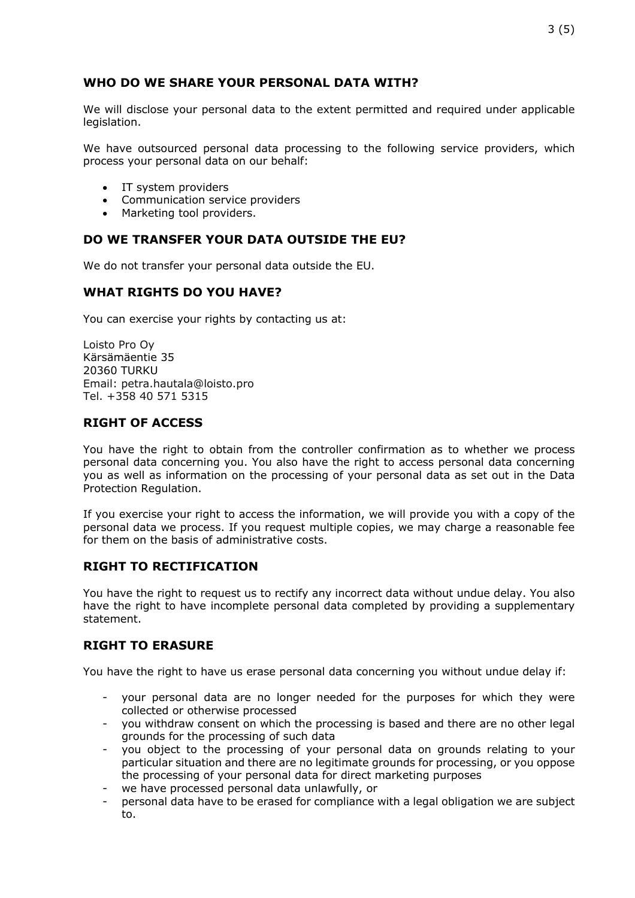# **WHO DO WE SHARE YOUR PERSONAL DATA WITH?**

We will disclose your personal data to the extent permitted and required under applicable legislation.

We have outsourced personal data processing to the following service providers, which process your personal data on our behalf:

- IT system providers
- Communication service providers
- Marketing tool providers.

# **DO WE TRANSFER YOUR DATA OUTSIDE THE EU?**

We do not transfer your personal data outside the EU.

# **WHAT RIGHTS DO YOU HAVE?**

You can exercise your rights by contacting us at:

Loisto Pro Oy Kärsämäentie 35 20360 TURKU Email: petra.hautala@loisto.pro Tel. +358 40 571 5315

### **RIGHT OF ACCESS**

You have the right to obtain from the controller confirmation as to whether we process personal data concerning you. You also have the right to access personal data concerning you as well as information on the processing of your personal data as set out in the Data Protection Regulation.

If you exercise your right to access the information, we will provide you with a copy of the personal data we process. If you request multiple copies, we may charge a reasonable fee for them on the basis of administrative costs.

### **RIGHT TO RECTIFICATION**

You have the right to request us to rectify any incorrect data without undue delay. You also have the right to have incomplete personal data completed by providing a supplementary statement.

### **RIGHT TO ERASURE**

You have the right to have us erase personal data concerning you without undue delay if:

- your personal data are no longer needed for the purposes for which they were collected or otherwise processed
- you withdraw consent on which the processing is based and there are no other legal grounds for the processing of such data
- you object to the processing of your personal data on grounds relating to your particular situation and there are no legitimate grounds for processing, or you oppose the processing of your personal data for direct marketing purposes
- we have processed personal data unlawfully, or
- personal data have to be erased for compliance with a legal obligation we are subject to.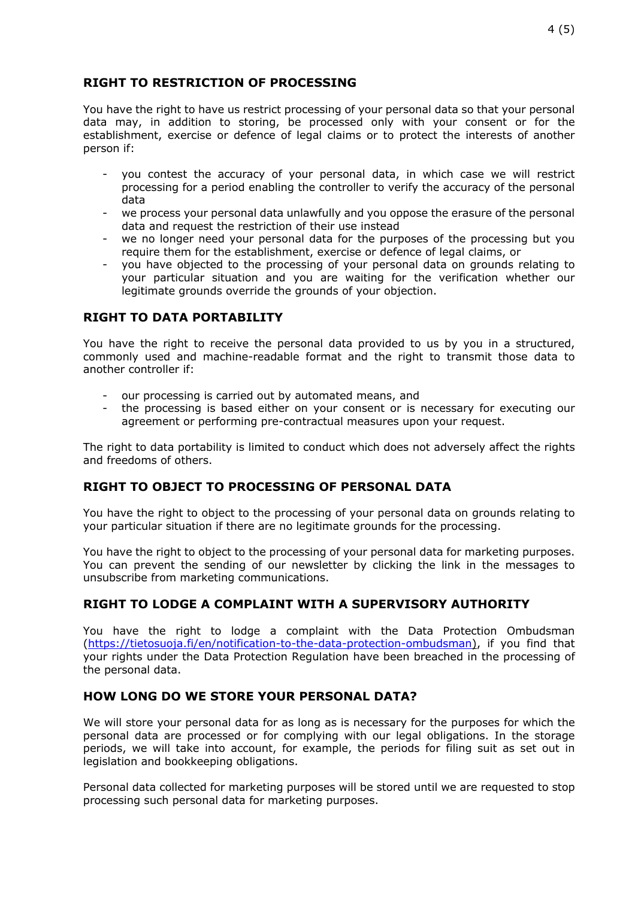## **RIGHT TO RESTRICTION OF PROCESSING**

You have the right to have us restrict processing of your personal data so that your personal data may, in addition to storing, be processed only with your consent or for the establishment, exercise or defence of legal claims or to protect the interests of another person if:

- you contest the accuracy of your personal data, in which case we will restrict processing for a period enabling the controller to verify the accuracy of the personal data
- we process your personal data unlawfully and you oppose the erasure of the personal data and request the restriction of their use instead
- we no longer need your personal data for the purposes of the processing but you require them for the establishment, exercise or defence of legal claims, or
- you have objected to the processing of your personal data on grounds relating to your particular situation and you are waiting for the verification whether our legitimate grounds override the grounds of your objection.

# **RIGHT TO DATA PORTABILITY**

You have the right to receive the personal data provided to us by you in a structured, commonly used and machine-readable format and the right to transmit those data to another controller if:

- our processing is carried out by automated means, and
- the processing is based either on your consent or is necessary for executing our agreement or performing pre-contractual measures upon your request.

The right to data portability is limited to conduct which does not adversely affect the rights and freedoms of others.

## **RIGHT TO OBJECT TO PROCESSING OF PERSONAL DATA**

You have the right to object to the processing of your personal data on grounds relating to your particular situation if there are no legitimate grounds for the processing.

You have the right to object to the processing of your personal data for marketing purposes. You can prevent the sending of our newsletter by clicking the link in the messages to unsubscribe from marketing communications.

## **RIGHT TO LODGE A COMPLAINT WITH A SUPERVISORY AUTHORITY**

You have the right to lodge a complaint with the Data Protection Ombudsman (https://tietosuoja.fi/en/notification-to-the-data-protection-ombudsman), if you find that your rights under the Data Protection Regulation have been breached in the processing of the personal data.

### **HOW LONG DO WE STORE YOUR PERSONAL DATA?**

We will store your personal data for as long as is necessary for the purposes for which the personal data are processed or for complying with our legal obligations. In the storage periods, we will take into account, for example, the periods for filing suit as set out in legislation and bookkeeping obligations.

Personal data collected for marketing purposes will be stored until we are requested to stop processing such personal data for marketing purposes.